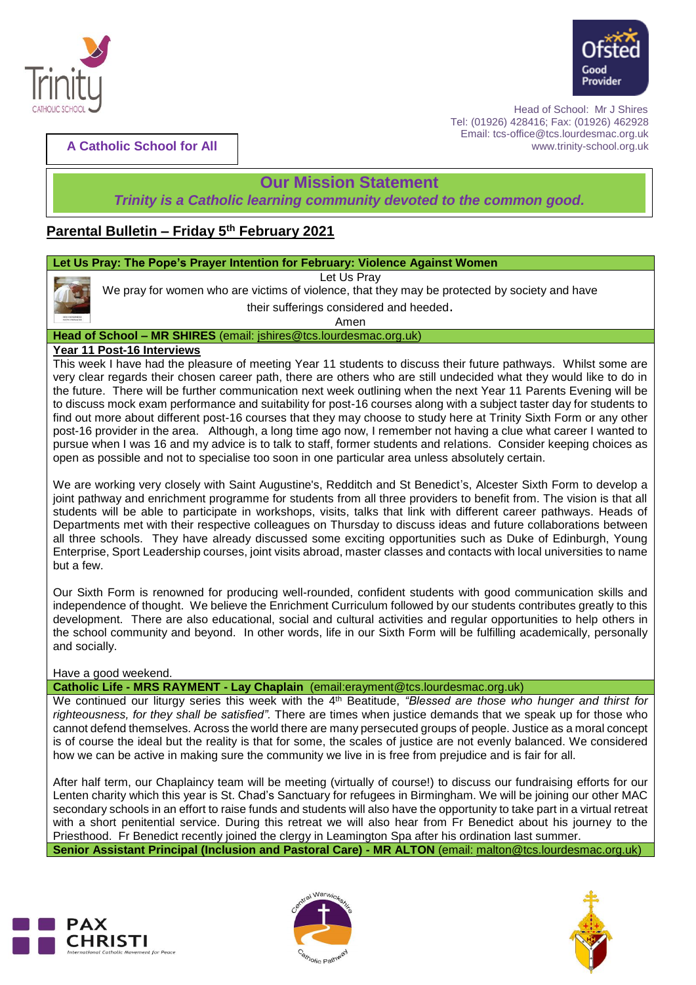



 Head of School: Mr J Shires Tel: (01926) 428416; Fax: (01926) 462928 Email: tcs-office@tcs.lourdesmac.org.uk www.trinity-school.org.uk

**A Catholic School for All**

# **Our Mission Statement**

*Trinity is a Catholic learning community devoted to the common good.*

# **Parental Bulletin – Friday 5 th February 2021**

# **Let Us Pray: The Pope's Prayer Intention for February: Violence Against Women**

Let Us Pray

We pray for women who are victims of violence, that they may be protected by society and have

their sufferings considered and heeded.

Amen

### **Head of School – MR SHIRES** (email: [jshires@tcs.lourdesmac.org.uk\)](mailto:jshires@tcs.lourdesmac.org.uk)

## **Year 11 Post-16 Interviews**

This week I have had the pleasure of meeting Year 11 students to discuss their future pathways. Whilst some are very clear regards their chosen career path, there are others who are still undecided what they would like to do in the future. There will be further communication next week outlining when the next Year 11 Parents Evening will be to discuss mock exam performance and suitability for post-16 courses along with a subject taster day for students to find out more about different post-16 courses that they may choose to study here at Trinity Sixth Form or any other post-16 provider in the area. Although, a long time ago now, I remember not having a clue what career I wanted to pursue when I was 16 and my advice is to talk to staff, former students and relations. Consider keeping choices as open as possible and not to specialise too soon in one particular area unless absolutely certain.

We are working very closely with Saint Augustine's, Redditch and St Benedict's, Alcester Sixth Form to develop a joint pathway and enrichment programme for students from all three providers to benefit from. The vision is that all students will be able to participate in workshops, visits, talks that link with different career pathways. Heads of Departments met with their respective colleagues on Thursday to discuss ideas and future collaborations between all three schools. They have already discussed some exciting opportunities such as Duke of Edinburgh, Young Enterprise, Sport Leadership courses, joint visits abroad, master classes and contacts with local universities to name but a few.

Our Sixth Form is renowned for producing well-rounded, confident students with good communication skills and independence of thought. We believe the Enrichment Curriculum followed by our students contributes greatly to this development. There are also educational, social and cultural activities and regular opportunities to help others in the school community and beyond. In other words, life in our Sixth Form will be fulfilling academically, personally and socially.

### Have a good weekend.

**Catholic Life - MRS RAYMENT - Lay Chaplain** (email:erayment@tcs.lourdesmac.org.uk)

We continued our liturgy series this week with the 4<sup>th</sup> Beatitude, "Blessed are those who hunger and thirst for *righteousness, for they shall be satisfied".* There are times when justice demands that we speak up for those who cannot defend themselves. Across the world there are many persecuted groups of people. Justice as a moral concept is of course the ideal but the reality is that for some, the scales of justice are not evenly balanced. We considered how we can be active in making sure the community we live in is free from prejudice and is fair for all.

After half term, our Chaplaincy team will be meeting (virtually of course!) to discuss our fundraising efforts for our Lenten charity which this year is St. Chad's Sanctuary for refugees in Birmingham. We will be joining our other MAC secondary schools in an effort to raise funds and students will also have the opportunity to take part in a virtual retreat with a short penitential service. During this retreat we will also hear from Fr Benedict about his journey to the Priesthood. Fr Benedict recently joined the clergy in Leamington Spa after his ordination last summer. **Senior Assistant Principal (Inclusion and Pastoral Care) - MR ALTON** (email: [malton@tcs.lourdesmac.org.uk\)](mailto:malton@tcs.lourdesmac.org.uk)





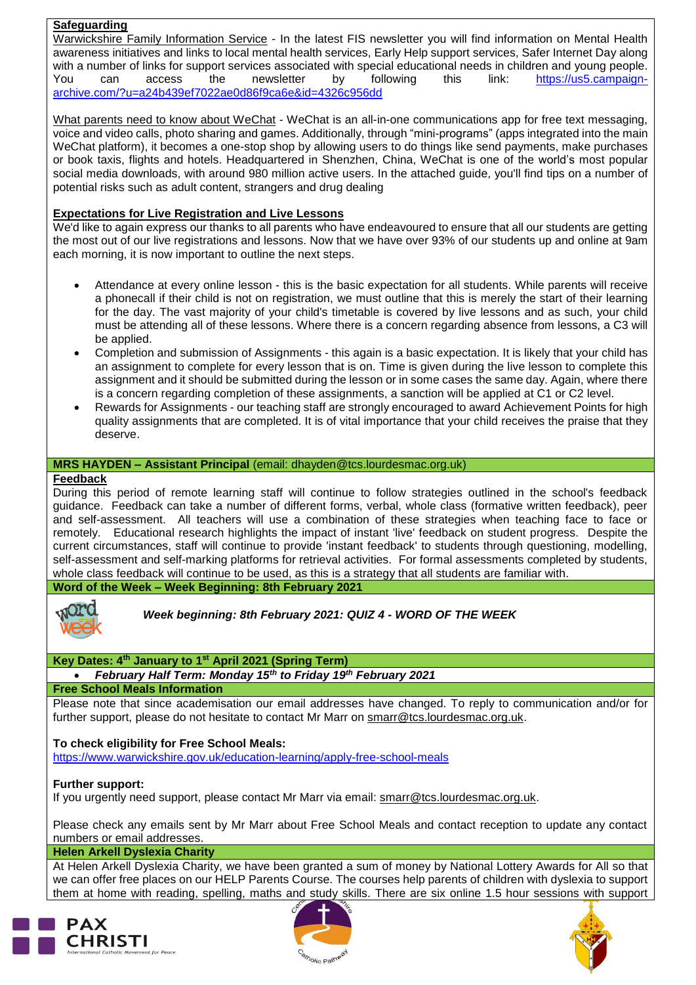### **Safeguarding**

Warwickshire Family Information Service - In the latest FIS newsletter you will find information on Mental Health awareness initiatives and links to local mental health services, Early Help support services, Safer Internet Day along with a number of links for support services associated with special educational needs in children and young people. You can access the newsletter by following this link: [https://us5.campaign](https://us5.campaign-archive.com/?u=a24b439ef7022ae0d86f9ca6e&id=4326c956dd)[archive.com/?u=a24b439ef7022ae0d86f9ca6e&id=4326c956dd](https://us5.campaign-archive.com/?u=a24b439ef7022ae0d86f9ca6e&id=4326c956dd)

What parents need to know about WeChat - WeChat is an all-in-one communications app for free text messaging, voice and video calls, photo sharing and games. Additionally, through "mini-programs" (apps integrated into the main WeChat platform), it becomes a one-stop shop by allowing users to do things like send payments, make purchases or book taxis, flights and hotels. Headquartered in Shenzhen, China, WeChat is one of the world's most popular social media downloads, with around 980 million active users. In the attached guide, you'll find tips on a number of potential risks such as adult content, strangers and drug dealing

# **Expectations for Live Registration and Live Lessons**

We'd like to again express our thanks to all parents who have endeavoured to ensure that all our students are getting the most out of our live registrations and lessons. Now that we have over 93% of our students up and online at 9am each morning, it is now important to outline the next steps.

- Attendance at every online lesson this is the basic expectation for all students. While parents will receive a phonecall if their child is not on registration, we must outline that this is merely the start of their learning for the day. The vast majority of your child's timetable is covered by live lessons and as such, your child must be attending all of these lessons. Where there is a concern regarding absence from lessons, a C3 will be applied.
- Completion and submission of Assignments this again is a basic expectation. It is likely that your child has an assignment to complete for every lesson that is on. Time is given during the live lesson to complete this assignment and it should be submitted during the lesson or in some cases the same day. Again, where there is a concern regarding completion of these assignments, a sanction will be applied at C1 or C2 level.
- Rewards for Assignments our teaching staff are strongly encouraged to award Achievement Points for high quality assignments that are completed. It is of vital importance that your child receives the praise that they deserve.

## **MRS HAYDEN – Assistant Principal** (email: dhayden@tcs.lourdesmac.org.uk)

### **Feedback**

During this period of remote learning staff will continue to follow strategies outlined in the school's feedback guidance. Feedback can take a number of different forms, verbal, whole class (formative written feedback), peer and self-assessment. All teachers will use a combination of these strategies when teaching face to face or remotely. Educational research highlights the impact of instant 'live' feedback on student progress. Despite the current circumstances, staff will continue to provide 'instant feedback' to students through questioning, modelling, self-assessment and self-marking platforms for retrieval activities. For formal assessments completed by students, whole class feedback will continue to be used, as this is a strategy that all students are familiar with.

**Word of the Week – Week Beginning: 8th February 2021**



### *Week beginning: 8th February 2021: QUIZ 4 - WORD OF THE WEEK*

### **Key Dates: 4 th January to 1st April 2021 (Spring Term)**

*February Half Term: Monday 15th to Friday 19th February 2021*

# **Free School Meals Information**

Please note that since academisation our email addresses have changed. To reply to communication and/or for further support, please do not hesitate to contact Mr Marr on [smarr@tcs.lourdesmac.org.uk.](mailto:smarr@tcs.lourdesmac.org.uk)

### **To check eligibility for Free School Meals:**

<https://www.warwickshire.gov.uk/education-learning/apply-free-school-meals>

### **Further support:**

If you urgently need support, please contact Mr Marr via email: [smarr@tcs.lourdesmac.org.uk.](mailto:smarr@tcs.lourdesmac.org.uk)

Please check any emails sent by Mr Marr about Free School Meals and contact reception to update any contact numbers or email addresses.

#### **Helen Arkell Dyslexia Charity**

At Helen Arkell Dyslexia Charity, we have been granted a sum of money by National Lottery Awards for All so that we can offer free places on our HELP Parents Course. The courses help parents of children with dyslexia to support them at home with reading, spelling, maths and study skills. There are six online 1.5 hour sessions with support





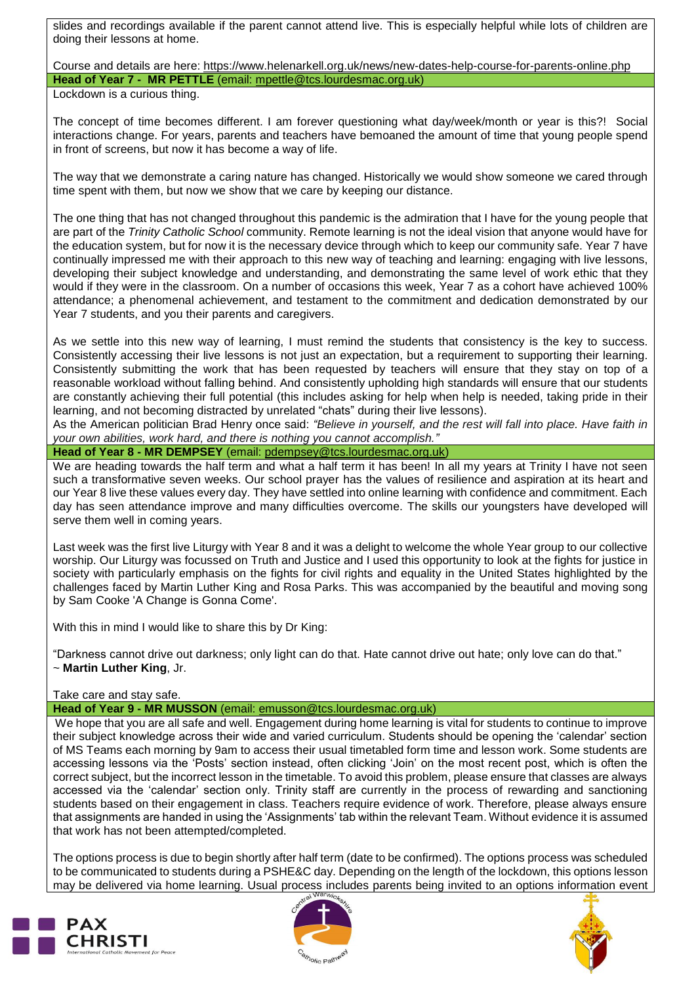slides and recordings available if the parent cannot attend live. This is especially helpful while lots of children are doing their lessons at home.

Course and details are here: <https://www.helenarkell.org.uk/news/new-dates-help-course-for-parents-online.php> **Head of Year 7 - MR PETTLE** (email: [mpettle@tcs.lourdesmac.org.uk\)](mailto:mpettle@tcs.lourdesmac.org.uk)

Lockdown is a curious thing.

The concept of time becomes different. I am forever questioning what day/week/month or year is this?! Social interactions change. For years, parents and teachers have bemoaned the amount of time that young people spend in front of screens, but now it has become a way of life.

The way that we demonstrate a caring nature has changed. Historically we would show someone we cared through time spent with them, but now we show that we care by keeping our distance.

The one thing that has not changed throughout this pandemic is the admiration that I have for the young people that are part of the *Trinity Catholic School* community. Remote learning is not the ideal vision that anyone would have for the education system, but for now it is the necessary device through which to keep our community safe. Year 7 have continually impressed me with their approach to this new way of teaching and learning: engaging with live lessons, developing their subject knowledge and understanding, and demonstrating the same level of work ethic that they would if they were in the classroom. On a number of occasions this week, Year 7 as a cohort have achieved 100% attendance; a phenomenal achievement, and testament to the commitment and dedication demonstrated by our Year 7 students, and you their parents and caregivers.

As we settle into this new way of learning, I must remind the students that consistency is the key to success. Consistently accessing their live lessons is not just an expectation, but a requirement to supporting their learning. Consistently submitting the work that has been requested by teachers will ensure that they stay on top of a reasonable workload without falling behind. And consistently upholding high standards will ensure that our students are constantly achieving their full potential (this includes asking for help when help is needed, taking pride in their learning, and not becoming distracted by unrelated "chats" during their live lessons).

As the American politician Brad Henry once said: *"Believe in yourself, and the rest will fall into place. Have faith in your own abilities, work hard, and there is nothing you cannot accomplish."*

**Head of Year 8 - MR DEMPSEY** (email: [pdempsey@tcs.lourdesmac.org.uk\)](mailto:pdempsey@tcs.lourdesmac.org.uk)

We are heading towards the half term and what a half term it has been! In all my years at Trinity I have not seen such a transformative seven weeks. Our school prayer has the values of resilience and aspiration at its heart and our Year 8 live these values every day. They have settled into online learning with confidence and commitment. Each day has seen attendance improve and many difficulties overcome. The skills our youngsters have developed will serve them well in coming years.

Last week was the first live Liturgy with Year 8 and it was a delight to welcome the whole Year group to our collective worship. Our Liturgy was focussed on Truth and Justice and I used this opportunity to look at the fights for justice in society with particularly emphasis on the fights for civil rights and equality in the United States highlighted by the challenges faced by Martin Luther King and Rosa Parks. This was accompanied by the beautiful and moving song by Sam Cooke 'A Change is Gonna Come'.

With this in mind I would like to share this by Dr King:

"Darkness cannot drive out darkness; only light can do that. Hate cannot drive out hate; only love can do that." ~ **Martin Luther King**, Jr.

Take care and stay safe.

### **Head of Year 9 - MR MUSSON** (email: [emusson@tcs.lourdesmac.org.uk\)](mailto:emusson@tcs.lourdesmac.org.uk)

We hope that you are all safe and well. Engagement during home learning is vital for students to continue to improve their subject knowledge across their wide and varied curriculum. Students should be opening the 'calendar' section of MS Teams each morning by 9am to access their usual timetabled form time and lesson work. Some students are accessing lessons via the 'Posts' section instead, often clicking 'Join' on the most recent post, which is often the correct subject, but the incorrect lesson in the timetable. To avoid this problem, please ensure that classes are always accessed via the 'calendar' section only. Trinity staff are currently in the process of rewarding and sanctioning students based on their engagement in class. Teachers require evidence of work. Therefore, please always ensure that assignments are handed in using the 'Assignments' tab within the relevant Team. Without evidence it is assumed that work has not been attempted/completed.

The options process is due to begin shortly after half term (date to be confirmed). The options process was scheduled to be communicated to students during a PSHE&C day. Depending on the length of the lockdown, this options lesson may be delivered via home learning. Usual process includes parents being invited to an options information event





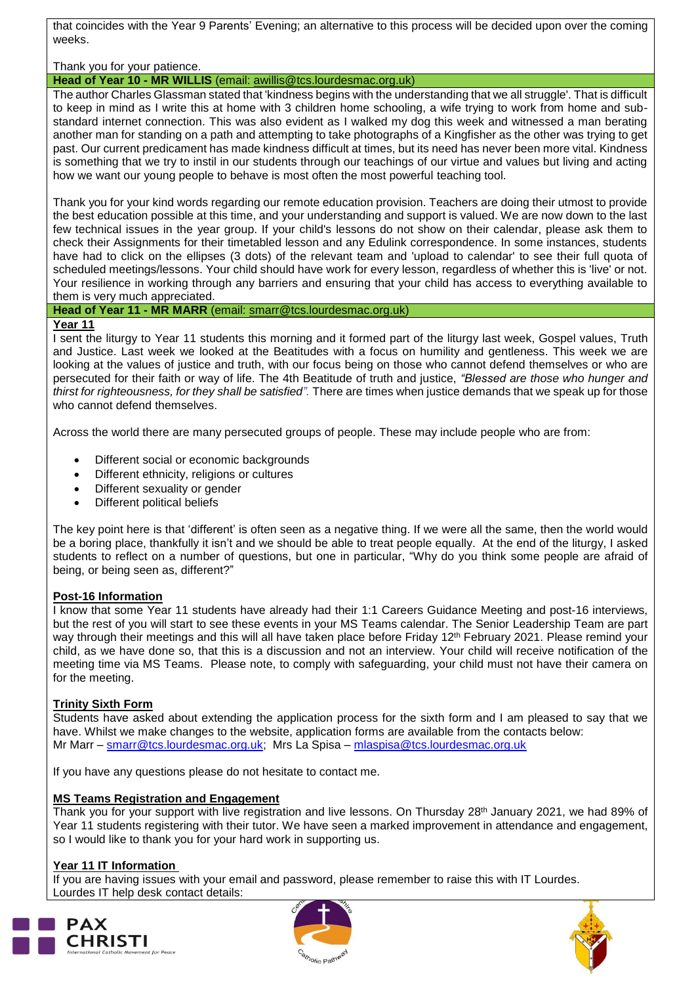that coincides with the Year 9 Parents' Evening; an alternative to this process will be decided upon over the coming weeks.

Thank you for your patience.

**Head of Year 10 - MR WILLIS** (email: [awillis@tcs.lourdesmac.org.uk\)](mailto:awillis@tcs.lourdesmac.org.uk)

The author Charles Glassman stated that 'kindness begins with the understanding that we all struggle'. That is difficult to keep in mind as I write this at home with 3 children home schooling, a wife trying to work from home and substandard internet connection. This was also evident as I walked my dog this week and witnessed a man berating another man for standing on a path and attempting to take photographs of a Kingfisher as the other was trying to get past. Our current predicament has made kindness difficult at times, but its need has never been more vital. Kindness is something that we try to instil in our students through our teachings of our virtue and values but living and acting how we want our young people to behave is most often the most powerful teaching tool.

Thank you for your kind words regarding our remote education provision. Teachers are doing their utmost to provide the best education possible at this time, and your understanding and support is valued. We are now down to the last few technical issues in the year group. If your child's lessons do not show on their calendar, please ask them to check their Assignments for their timetabled lesson and any Edulink correspondence. In some instances, students have had to click on the ellipses (3 dots) of the relevant team and 'upload to calendar' to see their full quota of scheduled meetings/lessons. Your child should have work for every lesson, regardless of whether this is 'live' or not. Your resilience in working through any barriers and ensuring that your child has access to everything available to them is very much appreciated.

**Head of Year 11 - MR MARR** (email: [smarr@tcs.lourdesmac.org.uk\)](mailto:smarr@tcs.lourdesmac.org.uk)

## **Year 11**

I sent the liturgy to Year 11 students this morning and it formed part of the liturgy last week, Gospel values, Truth and Justice. Last week we looked at the Beatitudes with a focus on humility and gentleness. This week we are looking at the values of justice and truth, with our focus being on those who cannot defend themselves or who are persecuted for their faith or way of life. The 4th Beatitude of truth and justice, *"Blessed are those who hunger and thirst for righteousness, for they shall be satisfied".* There are times when justice demands that we speak up for those who cannot defend themselves.

Across the world there are many persecuted groups of people. These may include people who are from:

- Different social or economic backgrounds
- Different ethnicity, religions or cultures
- Different sexuality or gender
- Different political beliefs

The key point here is that 'different' is often seen as a negative thing. If we were all the same, then the world would be a boring place, thankfully it isn't and we should be able to treat people equally. At the end of the liturgy, I asked students to reflect on a number of questions, but one in particular, "Why do you think some people are afraid of being, or being seen as, different?"

### **Post-16 Information**

I know that some Year 11 students have already had their 1:1 Careers Guidance Meeting and post-16 interviews, but the rest of you will start to see these events in your MS Teams calendar. The Senior Leadership Team are part way through their meetings and this will all have taken place before Friday 12 th February 2021. Please remind your child, as we have done so, that this is a discussion and not an interview. Your child will receive notification of the meeting time via MS Teams. Please note, to comply with safeguarding, your child must not have their camera on for the meeting.

# **Trinity Sixth Form**

Students have asked about extending the application process for the sixth form and I am pleased to say that we have. Whilst we make changes to the website, application forms are available from the contacts below: Mr Marr – [smarr@tcs.lourdesmac.org.uk;](mailto:smarr@tcs.lourdesmac.org.uk) Mrs La Spisa – [mlaspisa@tcs.lourdesmac.org.uk](mailto:mlaspisa@tcs.lourdesmac.org.uk)

If you have any questions please do not hesitate to contact me.

### **MS Teams Registration and Engagement**

Thank you for your support with live registration and live lessons. On Thursday 28<sup>th</sup> January 2021, we had 89% of Year 11 students registering with their tutor. We have seen a marked improvement in attendance and engagement, so I would like to thank you for your hard work in supporting us.

### **Year 11 IT Information**

If you are having issues with your email and password, please remember to raise this with IT Lourdes. Lourdes IT help desk contact details: